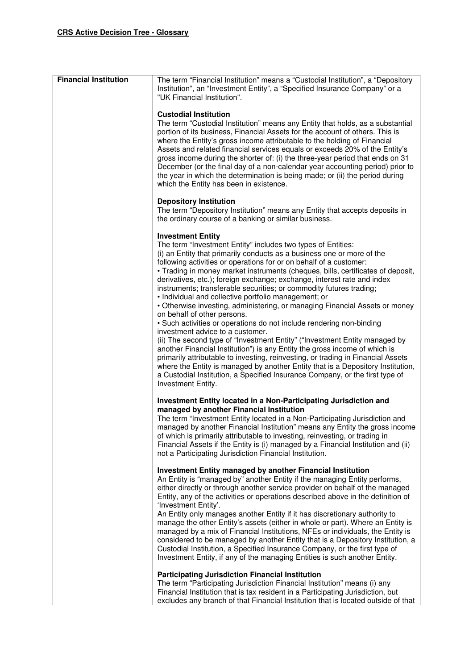| <b>Financial Institution</b> | The term "Financial Institution" means a "Custodial Institution", a "Depository<br>Institution", an "Investment Entity", a "Specified Insurance Company" or a<br>"UK Financial Institution".                                                                                                                                                                                                                                                                                                                                                                                                                                                                                                                                                                                                                                                                                                                                                                                                                                                                                                                                                                                                             |
|------------------------------|----------------------------------------------------------------------------------------------------------------------------------------------------------------------------------------------------------------------------------------------------------------------------------------------------------------------------------------------------------------------------------------------------------------------------------------------------------------------------------------------------------------------------------------------------------------------------------------------------------------------------------------------------------------------------------------------------------------------------------------------------------------------------------------------------------------------------------------------------------------------------------------------------------------------------------------------------------------------------------------------------------------------------------------------------------------------------------------------------------------------------------------------------------------------------------------------------------|
|                              | <b>Custodial Institution</b><br>The term "Custodial Institution" means any Entity that holds, as a substantial<br>portion of its business, Financial Assets for the account of others. This is<br>where the Entity's gross income attributable to the holding of Financial<br>Assets and related financial services equals or exceeds 20% of the Entity's<br>gross income during the shorter of: (i) the three-year period that ends on 31<br>December (or the final day of a non-calendar year accounting period) prior to<br>the year in which the determination is being made; or (ii) the period during<br>which the Entity has been in existence.                                                                                                                                                                                                                                                                                                                                                                                                                                                                                                                                                   |
|                              | <b>Depository Institution</b><br>The term "Depository Institution" means any Entity that accepts deposits in<br>the ordinary course of a banking or similar business.                                                                                                                                                                                                                                                                                                                                                                                                                                                                                                                                                                                                                                                                                                                                                                                                                                                                                                                                                                                                                                    |
|                              | <b>Investment Entity</b><br>The term "Investment Entity" includes two types of Entities:<br>(i) an Entity that primarily conducts as a business one or more of the<br>following activities or operations for or on behalf of a customer:<br>• Trading in money market instruments (cheques, bills, certificates of deposit,<br>derivatives, etc.); foreign exchange; exchange, interest rate and index<br>instruments; transferable securities; or commodity futures trading;<br>· Individual and collective portfolio management; or<br>• Otherwise investing, administering, or managing Financial Assets or money<br>on behalf of other persons.<br>• Such activities or operations do not include rendering non-binding<br>investment advice to a customer.<br>(ii) The second type of "Investment Entity" ("Investment Entity managed by<br>another Financial Institution") is any Entity the gross income of which is<br>primarily attributable to investing, reinvesting, or trading in Financial Assets<br>where the Entity is managed by another Entity that is a Depository Institution,<br>a Custodial Institution, a Specified Insurance Company, or the first type of<br>Investment Entity. |
|                              | Investment Entity located in a Non-Participating Jurisdiction and<br>managed by another Financial Institution<br>The term "Investment Entity located in a Non-Participating Jurisdiction and<br>managed by another Financial Institution" means any Entity the gross income<br>of which is primarily attributable to investing, reinvesting, or trading in<br>Financial Assets if the Entity is (i) managed by a Financial Institution and (ii)<br>not a Participating Jurisdiction Financial Institution.                                                                                                                                                                                                                                                                                                                                                                                                                                                                                                                                                                                                                                                                                               |
|                              | <b>Investment Entity managed by another Financial Institution</b><br>An Entity is "managed by" another Entity if the managing Entity performs,<br>either directly or through another service provider on behalf of the managed<br>Entity, any of the activities or operations described above in the definition of<br>'Investment Entity'.<br>An Entity only manages another Entity if it has discretionary authority to<br>manage the other Entity's assets (either in whole or part). Where an Entity is<br>managed by a mix of Financial Institutions, NFEs or individuals, the Entity is<br>considered to be managed by another Entity that is a Depository Institution, a<br>Custodial Institution, a Specified Insurance Company, or the first type of<br>Investment Entity, if any of the managing Entities is such another Entity.                                                                                                                                                                                                                                                                                                                                                               |
|                              | <b>Participating Jurisdiction Financial Institution</b>                                                                                                                                                                                                                                                                                                                                                                                                                                                                                                                                                                                                                                                                                                                                                                                                                                                                                                                                                                                                                                                                                                                                                  |
|                              | The term "Participating Jurisdiction Financial Institution" means (i) any<br>Financial Institution that is tax resident in a Participating Jurisdiction, but                                                                                                                                                                                                                                                                                                                                                                                                                                                                                                                                                                                                                                                                                                                                                                                                                                                                                                                                                                                                                                             |
|                              | excludes any branch of that Financial Institution that is located outside of that                                                                                                                                                                                                                                                                                                                                                                                                                                                                                                                                                                                                                                                                                                                                                                                                                                                                                                                                                                                                                                                                                                                        |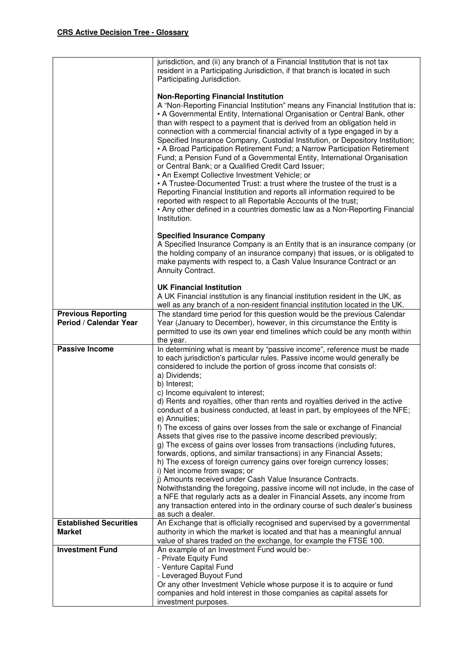|                               | jurisdiction, and (ii) any branch of a Financial Institution that is not tax                                                                                |
|-------------------------------|-------------------------------------------------------------------------------------------------------------------------------------------------------------|
|                               | resident in a Participating Jurisdiction, if that branch is located in such<br>Participating Jurisdiction.                                                  |
|                               |                                                                                                                                                             |
|                               | <b>Non-Reporting Financial Institution</b>                                                                                                                  |
|                               | A "Non-Reporting Financial Institution" means any Financial Institution that is:                                                                            |
|                               | • A Governmental Entity, International Organisation or Central Bank, other                                                                                  |
|                               | than with respect to a payment that is derived from an obligation held in<br>connection with a commercial financial activity of a type engaged in by a      |
|                               | Specified Insurance Company, Custodial Institution, or Depository Institution;                                                                              |
|                               | • A Broad Participation Retirement Fund; a Narrow Participation Retirement                                                                                  |
|                               | Fund; a Pension Fund of a Governmental Entity, International Organisation                                                                                   |
|                               | or Central Bank; or a Qualified Credit Card Issuer;                                                                                                         |
|                               | • An Exempt Collective Investment Vehicle; or<br>• A Trustee-Documented Trust: a trust where the trustee of the trust is a                                  |
|                               | Reporting Financial Institution and reports all information required to be                                                                                  |
|                               | reported with respect to all Reportable Accounts of the trust;                                                                                              |
|                               | • Any other defined in a countries domestic law as a Non-Reporting Financial                                                                                |
|                               | Institution.                                                                                                                                                |
|                               | <b>Specified Insurance Company</b>                                                                                                                          |
|                               | A Specified Insurance Company is an Entity that is an insurance company (or                                                                                 |
|                               | the holding company of an insurance company) that issues, or is obligated to                                                                                |
|                               | make payments with respect to, a Cash Value Insurance Contract or an<br>Annuity Contract.                                                                   |
|                               |                                                                                                                                                             |
|                               | <b>UK Financial Institution</b>                                                                                                                             |
|                               | A UK Financial institution is any financial institution resident in the UK, as                                                                              |
| <b>Previous Reporting</b>     | well as any branch of a non-resident financial institution located in the UK.<br>The standard time period for this question would be the previous Calendar  |
| Period / Calendar Year        | Year (January to December), however, in this circumstance the Entity is                                                                                     |
|                               | permitted to use its own year end timelines which could be any month within                                                                                 |
|                               | the year.                                                                                                                                                   |
| <b>Passive Income</b>         | In determining what is meant by "passive income", reference must be made                                                                                    |
|                               | to each jurisdiction's particular rules. Passive income would generally be<br>considered to include the portion of gross income that consists of:           |
|                               | a) Dividends;                                                                                                                                               |
|                               | b) Interest;                                                                                                                                                |
|                               | c) Income equivalent to interest;                                                                                                                           |
|                               | d) Rents and royalties, other than rents and royalties derived in the active<br>conduct of a business conducted, at least in part, by employees of the NFE; |
|                               | e) Annuities;                                                                                                                                               |
|                               | f) The excess of gains over losses from the sale or exchange of Financial                                                                                   |
|                               | Assets that gives rise to the passive income described previously;                                                                                          |
|                               | g) The excess of gains over losses from transactions (including futures,                                                                                    |
|                               |                                                                                                                                                             |
|                               | forwards, options, and similar transactions) in any Financial Assets;                                                                                       |
|                               | h) The excess of foreign currency gains over foreign currency losses;                                                                                       |
|                               | i) Net income from swaps; or<br>j) Amounts received under Cash Value Insurance Contracts.                                                                   |
|                               | Notwithstanding the foregoing, passive income will not include, in the case of                                                                              |
|                               | a NFE that regularly acts as a dealer in Financial Assets, any income from                                                                                  |
|                               | any transaction entered into in the ordinary course of such dealer's business                                                                               |
| <b>Established Securities</b> | as such a dealer.<br>An Exchange that is officially recognised and supervised by a governmental                                                             |
| <b>Market</b>                 | authority in which the market is located and that has a meaningful annual                                                                                   |
|                               | value of shares traded on the exchange, for example the FTSE 100.                                                                                           |
| <b>Investment Fund</b>        | An example of an Investment Fund would be:-                                                                                                                 |
|                               | - Private Equity Fund<br>- Venture Capital Fund                                                                                                             |
|                               | - Leveraged Buyout Fund                                                                                                                                     |
|                               | Or any other Investment Vehicle whose purpose it is to acquire or fund                                                                                      |
|                               | companies and hold interest in those companies as capital assets for<br>investment purposes.                                                                |